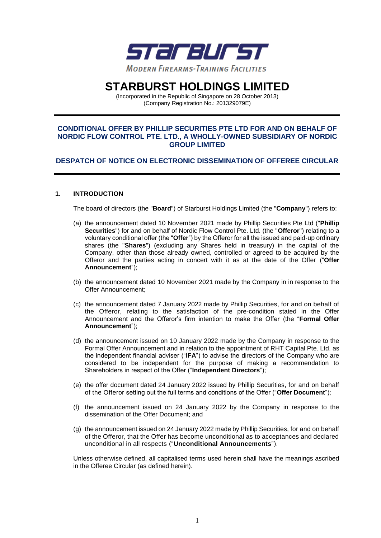

# **STARBURST HOLDINGS LIMITED**

(Incorporated in the Republic of Singapore on 28 October 2013) (Company Registration No.: 201329079E)

## **CONDITIONAL OFFER BY PHILLIP SECURITIES PTE LTD FOR AND ON BEHALF OF NORDIC FLOW CONTROL PTE. LTD., A WHOLLY-OWNED SUBSIDIARY OF NORDIC GROUP LIMITED**

## **DESPATCH OF NOTICE ON ELECTRONIC DISSEMINATION OF OFFEREE CIRCULAR**

## **1. INTRODUCTION**

The board of directors (the "**Board**") of Starburst Holdings Limited (the "**Company**") refers to:

- (a) the announcement dated 10 November 2021 made by Phillip Securities Pte Ltd ("**Phillip Securities**") for and on behalf of Nordic Flow Control Pte. Ltd. (the "**Offeror**") relating to a voluntary conditional offer (the "**Offer**") by the Offeror for all the issued and paid-up ordinary shares (the "**Shares**") (excluding any Shares held in treasury) in the capital of the Company, other than those already owned, controlled or agreed to be acquired by the Offeror and the parties acting in concert with it as at the date of the Offer ("**Offer Announcement**");
- (b) the announcement dated 10 November 2021 made by the Company in in response to the Offer Announcement;
- (c) the announcement dated 7 January 2022 made by Phillip Securities, for and on behalf of the Offeror, relating to the satisfaction of the pre-condition stated in the Offer Announcement and the Offeror's firm intention to make the Offer (the "**Formal Offer Announcement**");
- (d) the announcement issued on 10 January 2022 made by the Company in response to the Formal Offer Announcement and in relation to the appointment of RHT Capital Pte. Ltd. as the independent financial adviser ("**IFA**") to advise the directors of the Company who are considered to be independent for the purpose of making a recommendation to Shareholders in respect of the Offer ("**Independent Directors**");
- (e) the offer document dated 24 January 2022 issued by Phillip Securities, for and on behalf of the Offeror setting out the full terms and conditions of the Offer ("**Offer Document**");
- (f) the announcement issued on 24 January 2022 by the Company in response to the dissemination of the Offer Document; and
- (g) the announcement issued on 24 January 2022 made by Phillip Securities, for and on behalf of the Offeror, that the Offer has become unconditional as to acceptances and declared unconditional in all respects ("**Unconditional Announcements**").

Unless otherwise defined, all capitalised terms used herein shall have the meanings ascribed in the Offeree Circular (as defined herein).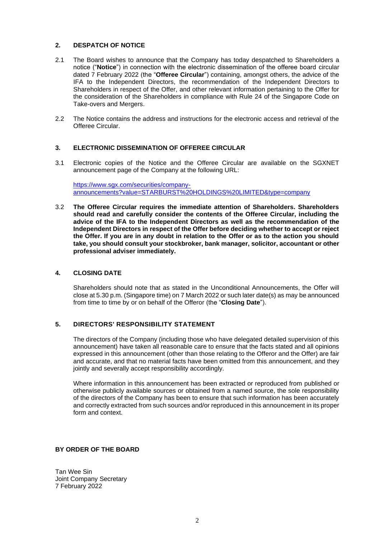## **2. DESPATCH OF NOTICE**

- 2.1 The Board wishes to announce that the Company has today despatched to Shareholders a notice ("**Notice**") in connection with the electronic dissemination of the offeree board circular dated 7 February 2022 (the "**Offeree Circular**") containing, amongst others, the advice of the IFA to the Independent Directors, the recommendation of the Independent Directors to Shareholders in respect of the Offer, and other relevant information pertaining to the Offer for the consideration of the Shareholders in compliance with Rule 24 of the Singapore Code on Take-overs and Mergers.
- 2.2 The Notice contains the address and instructions for the electronic access and retrieval of the Offeree Circular.

#### **3. ELECTRONIC DISSEMINATION OF OFFEREE CIRCULAR**

3.1 Electronic copies of the Notice and the Offeree Circular are available on the SGXNET announcement page of the Company at the following URL:

[https://www.sgx.com/securities/company](https://www.sgx.com/securities/company-announcements?value=STARBURST%20HOLDINGS%20LIMITED&type=company)[announcements?value=STARBURST%20HOLDINGS%20LIMITED&type=company](https://www.sgx.com/securities/company-announcements?value=STARBURST%20HOLDINGS%20LIMITED&type=company)

3.2 **The Offeree Circular requires the immediate attention of Shareholders. Shareholders should read and carefully consider the contents of the Offeree Circular, including the advice of the IFA to the Independent Directors as well as the recommendation of the Independent Directors in respect of the Offer before deciding whether to accept or reject the Offer. If you are in any doubt in relation to the Offer or as to the action you should take, you should consult your stockbroker, bank manager, solicitor, accountant or other professional adviser immediately.**

#### **4. CLOSING DATE**

Shareholders should note that as stated in the Unconditional Announcements, the Offer will close at 5.30 p.m. (Singapore time) on 7 March 2022 or such later date(s) as may be announced from time to time by or on behalf of the Offeror (the "**Closing Date**").

### **5. DIRECTORS' RESPONSIBILITY STATEMENT**

The directors of the Company (including those who have delegated detailed supervision of this announcement) have taken all reasonable care to ensure that the facts stated and all opinions expressed in this announcement (other than those relating to the Offeror and the Offer) are fair and accurate, and that no material facts have been omitted from this announcement, and they jointly and severally accept responsibility accordingly.

Where information in this announcement has been extracted or reproduced from published or otherwise publicly available sources or obtained from a named source, the sole responsibility of the directors of the Company has been to ensure that such information has been accurately and correctly extracted from such sources and/or reproduced in this announcement in its proper form and context.

#### **BY ORDER OF THE BOARD**

Tan Wee Sin Joint Company Secretary 7 February 2022